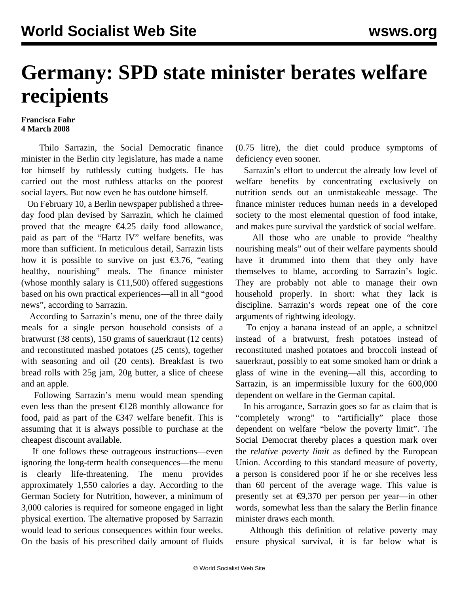## **Germany: SPD state minister berates welfare recipients**

## **Francisca Fahr 4 March 2008**

 Thilo Sarrazin, the Social Democratic finance minister in the Berlin city legislature, has made a name for himself by ruthlessly cutting budgets. He has carried out the most ruthless attacks on the poorest social layers. But now even he has outdone himself.

 On February 10, a Berlin newspaper published a threeday food plan devised by Sarrazin, which he claimed proved that the meagre  $\epsilon$ 4.25 daily food allowance, paid as part of the "Hartz IV" welfare benefits, was more than sufficient. In meticulous detail, Sarrazin lists how it is possible to survive on just  $\epsilon$ 3.76, "eating healthy, nourishing" meals. The finance minister (whose monthly salary is  $\epsilon$ 11,500) offered suggestions based on his own practical experiences—all in all "good news", according to Sarrazin.

 According to Sarrazin's menu, one of the three daily meals for a single person household consists of a bratwurst (38 cents), 150 grams of sauerkraut (12 cents) and reconstituted mashed potatoes (25 cents), together with seasoning and oil (20 cents). Breakfast is two bread rolls with 25g jam, 20g butter, a slice of cheese and an apple.

 Following Sarrazin's menu would mean spending even less than the present €128 monthly allowance for food, paid as part of the  $\epsilon$ 347 welfare benefit. This is assuming that it is always possible to purchase at the cheapest discount available.

 If one follows these outrageous instructions—even ignoring the long-term health consequences—the menu is clearly life-threatening. The menu provides approximately 1,550 calories a day. According to the German Society for Nutrition, however, a minimum of 3,000 calories is required for someone engaged in light physical exertion. The alternative proposed by Sarrazin would lead to serious consequences within four weeks. On the basis of his prescribed daily amount of fluids

(0.75 litre), the diet could produce symptoms of deficiency even sooner.

 Sarrazin's effort to undercut the already low level of welfare benefits by concentrating exclusively on nutrition sends out an unmistakeable message. The finance minister reduces human needs in a developed society to the most elemental question of food intake, and makes pure survival the yardstick of social welfare.

 All those who are unable to provide "healthy nourishing meals" out of their welfare payments should have it drummed into them that they only have themselves to blame, according to Sarrazin's logic. They are probably not able to manage their own household properly. In short: what they lack is discipline. Sarrazin's words repeat one of the core arguments of rightwing ideology.

 To enjoy a banana instead of an apple, a schnitzel instead of a bratwurst, fresh potatoes instead of reconstituted mashed potatoes and broccoli instead of sauerkraut, possibly to eat some smoked ham or drink a glass of wine in the evening—all this, according to Sarrazin, is an impermissible luxury for the 600,000 dependent on welfare in the German capital.

 In his arrogance, Sarrazin goes so far as claim that is "completely wrong" to "artificially" place those dependent on welfare "below the poverty limit". The Social Democrat thereby places a question mark over the *relative poverty limit* as defined by the European Union. According to this standard measure of poverty, a person is considered poor if he or she receives less than 60 percent of the average wage. This value is presently set at €9,370 per person per year—in other words, somewhat less than the salary the Berlin finance minister draws each month.

 Although this definition of relative poverty may ensure physical survival, it is far below what is